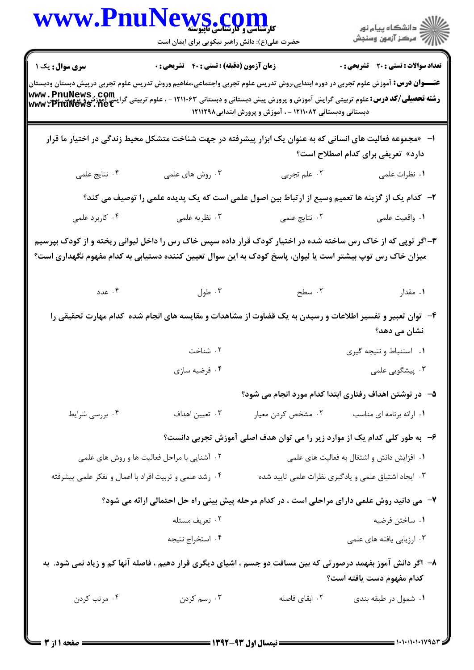|                                             | WWW.PnuNews.com                                                                                                                                                                                                          |                                                           | الارد دانشگاه پيام نور<br>۱۳۸۷ مرکز آزمون وسنجش                                                                                                                                                                                                                                                  |  |  |
|---------------------------------------------|--------------------------------------------------------------------------------------------------------------------------------------------------------------------------------------------------------------------------|-----------------------------------------------------------|--------------------------------------------------------------------------------------------------------------------------------------------------------------------------------------------------------------------------------------------------------------------------------------------------|--|--|
|                                             | حضرت علی(ع): دانش راهبر نیکویی برای ایمان است                                                                                                                                                                            |                                                           |                                                                                                                                                                                                                                                                                                  |  |  |
| <b>سری سوال :</b> یک ۱                      | زمان آزمون (دقیقه) : تستی : ۴۰٪ تشریحی : ۰                                                                                                                                                                               |                                                           | <b>تعداد سوالات : تستی : 20 - تشریحی : 0</b>                                                                                                                                                                                                                                                     |  |  |
|                                             |                                                                                                                                                                                                                          | دبستانی ودبستانی ۱۲۱۱۰۸۲ - ، آموزش و پرورش ابتدایی۱۲۱۱۲۹۸ | <b>عنـــوان درس:</b> آموزش علوم تجربی در دوره ابتدایی،روش تدریس علوم تجربی واجتماعی،مفاهیم وروش تدریس علوم تجربی درپیش دبستان ودبستان<br><b>رشته تحصیلی/کد درس:</b> علوم تربیتی گرایش آموزش و پرورش پیش دبستانی و دبستانی ۱۲۱۱۰۶۳ - ، علوم تربیتی گرایش اورزش و پرورش پیش<br>www • PhuNews • net |  |  |
|                                             | ا– «مجموعه فعالیت های انسانی که به عنوان یک ابزار پیشرفته در جهت شناخت متشکل محیط زندگی در اختیار ما قرار                                                                                                                |                                                           | دارد» تعریفی برای کدام اصطلاح است؟                                                                                                                                                                                                                                                               |  |  |
| ۰۴ نتايج علمى                               | ۰۳ روش های علمی                                                                                                                                                                                                          | ۰۲ علم تجربی                                              | ۰۱ نظرات علمی                                                                                                                                                                                                                                                                                    |  |  |
|                                             | ۲– کدام یک از گزینه ها تعمیم وسیع از ارتباط بین اصول علمی است که یک پدیده علمی را توصیف می کند؟                                                                                                                          |                                                           |                                                                                                                                                                                                                                                                                                  |  |  |
| ۰۴ کاربرد علمی                              |                                                                                                                                                                                                                          | ۲. نتایج علمی مسلمه است. تظریه علمی                       | ۰۱ واقعیت علمی                                                                                                                                                                                                                                                                                   |  |  |
|                                             | ۳–اگر توپی که از خاک رس ساخته شده در اختیار کودک قرار داده سپس خاک رس را داخل لیوانی ریخته و از کودک بپرسیم<br>میزان خاک رس توپ بیشتر است یا لیوان، پاسخ کودک به این سوال تعیین کننده دستیابی به کدام مفهوم نگهداری است؟ |                                                           |                                                                                                                                                                                                                                                                                                  |  |  |
| ۰۴ عدد                                      | . طول $\cdot$ ۳                                                                                                                                                                                                          | ۲. سطح                                                    | ۰۱ مقدار                                                                                                                                                                                                                                                                                         |  |  |
|                                             | ۴– توان تعبیر و تفسیر اطلاعات و رسیدن به یک قضاوت از مشاهدات و مقایسه های انجام شده کدام مهارت تحقیقی را                                                                                                                 |                                                           | نشان می دهد؟                                                                                                                                                                                                                                                                                     |  |  |
|                                             | ٠٢ شناخت                                                                                                                                                                                                                 |                                                           | ٠١ استنباط ونتيجه كيرى                                                                                                                                                                                                                                                                           |  |  |
|                                             | ۰۴ فرضيه سازي                                                                                                                                                                                                            |                                                           | ۰۳ پیشگویی علمی                                                                                                                                                                                                                                                                                  |  |  |
|                                             |                                                                                                                                                                                                                          |                                                           | ۵–۔ در نوشتن اهداف رفتاری ابتدا کدام مورد انجام می شود؟                                                                                                                                                                                                                                          |  |  |
| ۰۴ بررسی شرایط                              | ۰۳ تعیین اهداف                                                                                                                                                                                                           | ۰۲ مشخص کردن معیار                                        | ٠١ ارائه برنامه اي مناسب                                                                                                                                                                                                                                                                         |  |  |
|                                             | ۶-۔ به طور کلی کدام یک از موارد زیر را می توان هدف اصلی آموزش تجربی دانست؟                                                                                                                                               |                                                           |                                                                                                                                                                                                                                                                                                  |  |  |
| ۰۲ آشنایی با مراحل فعالیت ها و روش های علمی |                                                                                                                                                                                                                          | ۰۱ افزایش دانش و اشتغال به فعالیت های علمی                |                                                                                                                                                                                                                                                                                                  |  |  |
|                                             | ۰۴ رشد علمی و تربیت افراد با اعمال و تفکر علمی پیشرفته                                                                                                                                                                   |                                                           | ۰۳ ایجاد اشتیاق علمی و یادگیری نظرات علمی تایید شده                                                                                                                                                                                                                                              |  |  |
|                                             | ۷- می دانید روش علمی دارای مراحلی است ، در کدام مرحله پیش بینی راه حل احتمالی ارائه می شود؟                                                                                                                              |                                                           |                                                                                                                                                                                                                                                                                                  |  |  |
|                                             | ۰۲ تعریف مسئله                                                                                                                                                                                                           |                                                           | ۰۱ ساختن فرضيه                                                                                                                                                                                                                                                                                   |  |  |
|                                             | ۰۴ استخراج نتيجه                                                                                                                                                                                                         |                                                           | ۰۳ ارزیابی یافته های علمی                                                                                                                                                                                                                                                                        |  |  |
|                                             | ۸– اگر دانش آموز بفهمد درصورتی که بین مسافت دو جسم ، اشیای دیگری قرار دهیم ، فاصله آنها کم و زیاد نمی شود. به                                                                                                            |                                                           | كدام مفهوم دست يافته است؟                                                                                                                                                                                                                                                                        |  |  |
| ۰۴ مرتب کردن                                | ۰۳ رسم کردن                                                                                                                                                                                                              | ۰۲ ابقای فاصله                                            | ۰۱ شمول در طبقه بندی                                                                                                                                                                                                                                                                             |  |  |
|                                             |                                                                                                                                                                                                                          |                                                           |                                                                                                                                                                                                                                                                                                  |  |  |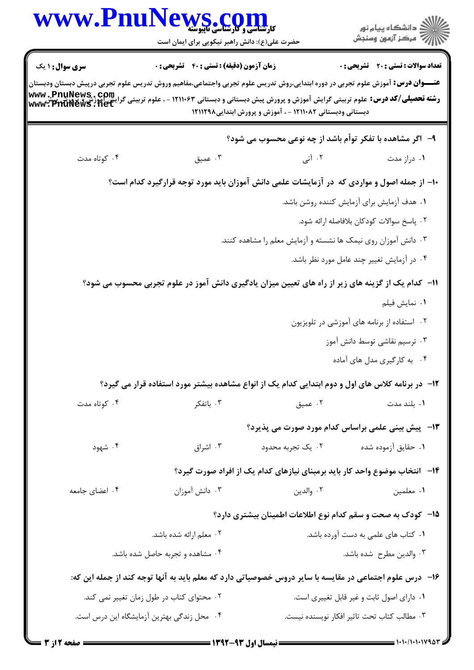| www.Pnu                          | <b>کارشناسی و کارشناسی تاپیوسته</b><br>حضرت علی(ع): دانش راهبر نیکویی برای ایمان است                                                                              |                                                                | د<br>آڪ دانشڪاه پيام نور<br>7ء مرڪز آزمون وسنڊش                            |
|----------------------------------|-------------------------------------------------------------------------------------------------------------------------------------------------------------------|----------------------------------------------------------------|----------------------------------------------------------------------------|
| <b>سری سوال : ۱ یک</b>           | <b>زمان آزمون (دقیقه) : تستی : 40 قشریحی : 0</b>                                                                                                                  |                                                                | <b>تعداد سوالات : تستی : 20 ٪ تشریحی : 0</b>                               |
|                                  | <b>عنـــوان درس:</b> آموزش علوم تجربی در دوره ابتدایی،روش تدریس علوم تجربی واجتماعی،مفاهیم وروش تدریس علوم تجربی درپیش دبستان ودبستان                             |                                                                |                                                                            |
|                                  | www.thuvewa.ctpuk<br><b>رشته تحصیلی/کد درس:</b> علوم تربیتی گرایش آموزش و پرورش پیش دبستانی و دبستانی ۱۲۱۱۰۶۳ - ، علوم تربیتی گرونش اموزش و<br>www. PhuNews . net | دبستانی ودبستانی ۱۲۱۱۰۸۲ - ، آموزش و پرورش ابتدایی۱۲۱۱۲۹۸      |                                                                            |
|                                  |                                                                                                                                                                   | ۹-۔ اگر مشاهده با تفکر توأم باشد از چه نوعی محسوب می شود؟      |                                                                            |
| ۰۴ کوتاه مدت                     | ۰۳ عميق                                                                                                                                                           | ۰۲ آنی                                                         | ۰۱ دراز مدت                                                                |
|                                  | ۱۰- از جمله اصول و مواردی که در آزمایشات علمی دانش آموزان باید مورد توجه قرارگیرد کدام است؟                                                                       |                                                                |                                                                            |
|                                  |                                                                                                                                                                   |                                                                | ٠١ هدف آزمايش براي آزمايش كننده روشن باشد.                                 |
|                                  |                                                                                                                                                                   |                                                                | ٠٢ پاسخ سوالات كودكان بلافاصله ارائه شود.                                  |
|                                  |                                                                                                                                                                   | ۰۳ دانش آموزان روی نیمک ها نشسته و آزمایش معلم را مشاهده کنند. |                                                                            |
|                                  |                                                                                                                                                                   |                                                                | ۰۴ در آزمایش تغییر چند عامل مورد نظر باشد.                                 |
|                                  | 11– کدام یک از گزینه های زیر از راه های تعیین میزان یادگیری دانش آموز در علوم تجربی محسوب می شود؟                                                                 |                                                                |                                                                            |
|                                  |                                                                                                                                                                   |                                                                | ۰۱ نمایش فیلم                                                              |
|                                  |                                                                                                                                                                   |                                                                | ۰۲ استفاده از برنامه های آموزشی در تلویزیون                                |
|                                  |                                                                                                                                                                   |                                                                | ۰۳ ترسیم نقاشی توسط دانش آموز                                              |
|                                  |                                                                                                                                                                   |                                                                | ۰۴ به کارگیری مدل های آماده                                                |
|                                  | ۱۲- در برنامه کلاس های اول و دوم ابتدایی کدام یک از انواع مشاهده بیشتر مورد استفاده قرار می گیرد؟                                                                 |                                                                |                                                                            |
| ۰۴ کوتاه مدت                     | ۰۳ باتفکر                                                                                                                                                         | ۰۲ عمیق                                                        | ۰۱ بلند مدت                                                                |
|                                  |                                                                                                                                                                   |                                                                | <b>۱۳</b> -۔ پیش بینی علمی براساس کدام مورد صورت می پذیرد؟                 |
| ۰۴ شهود                          | ۰۳ اشراق                                                                                                                                                          | ۰۲ يک تجربه محدود                                              | ٠١ حقايق آزموده شده                                                        |
|                                  |                                                                                                                                                                   |                                                                | ۱۴– انتخاب موضوع واحد کار باید برمبنای نیازهای کدام یک از افراد صورت گیرد؟ |
| ۰۴ اعضای جامعه                   | ۰۳ دانش آموزان                                                                                                                                                    | ۰۲ والدين                                                      | ٠١ معلمين                                                                  |
|                                  |                                                                                                                                                                   |                                                                | ۱۵– کودک به صحت و سقم کدام نوع اطلاعات اطمینان بیشتری دارد؟                |
| ۰۲ معلم ارائه شده باشد.          |                                                                                                                                                                   | ٠١ كتاب هاى علمى به دست آورده باشد.                            |                                                                            |
| ۰۴ مشاهده و تجربه حاصل شده باشد. |                                                                                                                                                                   | ۰۳ والدین مطرح شده باشد.                                       |                                                                            |
|                                  | ۱۶– درس علوم اجتماعی در مقایسه با سایر دروس خصوصیاتی دارد که معلم باید به آنها توجه کند از جمله این که:                                                           |                                                                |                                                                            |
|                                  | ۰۲ محتوای کتاب در طول زمان تغییر نمی کند.                                                                                                                         |                                                                | ٠١ داراي اصول ثابت و غير قابل تغييري است.                                  |
|                                  |                                                                                                                                                                   |                                                                |                                                                            |